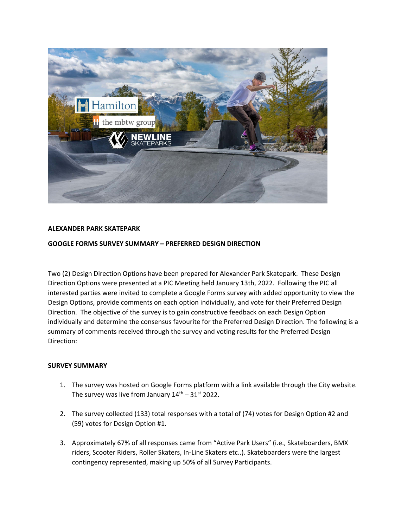

## **ALEXANDER PARK SKATEPARK**

## **GOOGLE FORMS SURVEY SUMMARY – PREFERRED DESIGN DIRECTION**

Two (2) Design Direction Options have been prepared for Alexander Park Skatepark. These Design Direction Options were presented at a PIC Meeting held January 13th, 2022. Following the PIC all interested parties were invited to complete a Google Forms survey with added opportunity to view the Design Options, provide comments on each option individually, and vote for their Preferred Design Direction. The objective of the survey is to gain constructive feedback on each Design Option individually and determine the consensus favourite for the Preferred Design Direction. The following is a summary of comments received through the survey and voting results for the Preferred Design Direction:

## **SURVEY SUMMARY**

- 1. The survey was hosted on Google Forms platform with a link available through the City website. The survey was live from January  $14<sup>th</sup> - 31<sup>st</sup>$  2022.
- 2. The survey collected (133) total responses with a total of (74) votes for Design Option #2 and (59) votes for Design Option #1.
- 3. Approximately 67% of all responses came from "Active Park Users" (i.e., Skateboarders, BMX riders, Scooter Riders, Roller Skaters, In-Line Skaters etc..). Skateboarders were the largest contingency represented, making up 50% of all Survey Participants.